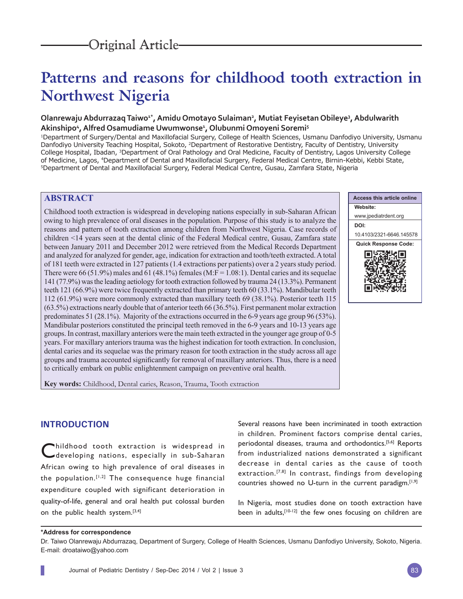# **Patterns and reasons for childhood tooth extraction in Northwest Nigeria**

# Olanrewaju Abdurrazaq Taiwo<sup>1\*</sup>, Amidu Omotayo Sulaiman<sup>2</sup>, Mutiat Feyisetan Obileye<sup>3</sup>, Abdulwarith **Akinshipo4 , Alfred Osamudiame Uwumwonse1 , Olubunmi Omoyeni Soremi5**

1Department of Surgery/Dental and Maxillofacial Surgery, College of Health Sciences, Usmanu Danfodiyo University, Usmanu Danfodiyo University Teaching Hospital, Sokoto, <sup>2</sup>Department of Restorative Dentistry, Faculty of Dentistry, University College Hospital, Ibadan, 3Department of Oral Pathology and Oral Medicine, Faculty of Dentistry, Lagos University College of Medicine, Lagos, <sup>4</sup>Department of Dental and Maxillofacial Surgery, Federal Medical Centre, Birnin-Kebbi, Kebbi State,<br><sup>5</sup>Department of Dental and Maxillofacial Surgery, Federal Medical Centre, Gusau, Zamfara State, Nig

# **ABSTRACT**

Childhood tooth extraction is widespread in developing nations especially in sub-Saharan African owing to high prevalence of oral diseases in the population. Purpose of this study is to analyze the reasons and pattern of tooth extraction among children from Northwest Nigeria. Case records of children <14 years seen at the dental clinic of the Federal Medical centre, Gusau, Zamfara state between January 2011 and December 2012 were retrieved from the Medical Records Department and analyzed for analyzed for gender, age, indication for extraction and tooth/teeth extracted. A total of 181 teeth were extracted in 127 patients (1.4 extractions per patients) over a 2 years study period. There were 66 (51.9%) males and 61 (48.1%) females (M:F = 1.08:1). Dental caries and its sequelae 141 (77.9%) was the leading aetiology for tooth extraction followed by trauma 24 (13.3%). Permanent teeth 121 (66.9%) were twice frequently extracted than primary teeth 60 (33.1%). Mandibular teeth 112 (61.9%) were more commonly extracted than maxillary teeth 69 (38.1%). Posterior teeth 115 (63.5%) extractions nearly double that of anterior teeth 66 (36.5%). First permanent molar extraction predominates 51 (28.1%). Majority of the extractions occurred in the 6-9 years age group 96 (53%). Mandibular posteriors constituted the principal teeth removed in the 6-9 years and 10-13 years age groups. In contrast, maxillary anteriors were the main teeth extracted in the younger age group of 0-5 years. For maxillary anteriors trauma was the highest indication for tooth extraction. In conclusion, dental caries and its sequelae was the primary reason for tooth extraction in the study across all age groups and trauma accounted significantly for removal of maxillary anteriors. Thus, there is a need to critically embark on public enlightenment campaign on preventive oral health.

**Key words:** Childhood, Dental caries, Reason, Trauma, Tooth extraction

# **INTRODUCTION**

hildhood tooth extraction is widespread in developing nations, especially in sub-Saharan African owing to high prevalence of oral diseases in the population.<sup>[1,2]</sup> The consequence huge financial expenditure coupled with significant deterioration in quality-of-life, general and oral health put colossal burden on the public health system. $[3,4]$ 

Several reasons have been incriminated in tooth extraction in children. Prominent factors comprise dental caries, periodontal diseases, trauma and orthodontics.[5,6] Reports from industrialized nations demonstrated a significant decrease in dental caries as the cause of tooth extraction.<sup>[7,8]</sup> In contrast, findings from developing countries showed no U-turn in the current paradigm.<sup>[1,9]</sup>

In Nigeria, most studies done on tooth extraction have been in adults, [10-12] the few ones focusing on children are

#### **\*Address for correspondence**

Dr. Taiwo Olanrewaju Abdurrazaq, Department of Surgery, College of Health Sciences, Usmanu Danfodiyo University, Sokoto, Nigeria. E-mail: droataiwo@yahoo.com

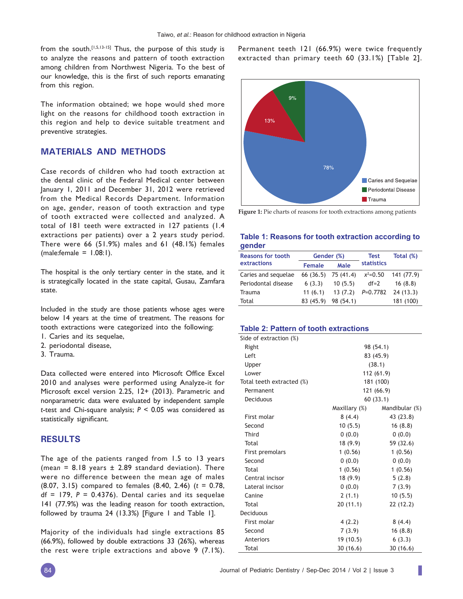from the south.<sup>[1,5,13-15]</sup> Thus, the purpose of this study is to analyze the reasons and pattern of tooth extraction among children from Northwest Nigeria. To the best of our knowledge, this is the first of such reports emanating from this region.

The information obtained; we hope would shed more light on the reasons for childhood tooth extraction in this region and help to device suitable treatment and preventive strategies.

# **MATERIALS AND METHODS**

Case records of children who had tooth extraction at the dental clinic of the Federal Medical center between January 1, 2011 and December 31, 2012 were retrieved from the Medical Records Department. Information on age, gender, reason of tooth extraction and type of tooth extracted were collected and analyzed. A total of 181 teeth were extracted in 127 patients (1.4 extractions per patients) over a 2 years study period. There were 66 (51.9%) males and 61 (48.1%) females  $(male:female = 1.08:1).$ 

The hospital is the only tertiary center in the state, and it is strategically located in the state capital, Gusau, Zamfara state.

Included in the study are those patients whose ages were below 14 years at the time of treatment. The reasons for tooth extractions were categorized into the following:

- 1. Caries and its sequelae,
- 2. periodontal disease,
- 3. Trauma.

Data collected were entered into Microsoft Office Excel 2010 and analyses were performed using Analyze-it for Microsoft excel version 2.25, 12+ (2013). Parametric and nonparametric data were evaluated by independent sample *t*-test and Chi-square analysis; *P* < 0.05 was considered as statistically significant.

## **RESULTS**

The age of the patients ranged from 1.5 to 13 years (mea*n* = 8.18 years ± 2.89 standard deviation). There were no difference between the mean age of males (8.07, 3.15) compared to females (8.40, 2.46) (*t* = 0.78,  $df = 179$ ,  $P = 0.4376$ ). Dental caries and its sequelae 141 (77.9%) was the leading reason for tooth extraction, followed by trauma 24 (13.3%) [Figure 1 and Table 1].

Majority of the individuals had single extractions 85 (66.9%), followed by double extractions 33 (26%), whereas the rest were triple extractions and above 9 (7.1%). Permanent teeth 121 (66.9%) were twice frequently extracted than primary teeth 60 (33.1%) [Table 2].





### **Table 1: Reasons for tooth extraction according to gender**

| <b>Reasons for tooth</b> |               | Gender (%)          | Test              | Total (%)  |
|--------------------------|---------------|---------------------|-------------------|------------|
| extractions              | <b>Female</b> | Male                | <b>statistics</b> |            |
| Caries and sequelae      |               | 66 (36.5) 75 (41.4) | $x^2=0.50$        | 141 (77.9) |
| Periodontal disease      | 6(3.3)        | 10(5.5)             | $df=2$            | 16(8.8)    |
| Trauma                   | 11(6.1)       | 13(7.2)             | $P=0.7782$        | 24(13.3)   |
| Total                    | 83 (45.9)     | 98 (54.1)           |                   | 181 (100)  |

#### **Table 2: Pattern of tooth extractions**

| Side of extraction (%)    |               |                |  |  |  |
|---------------------------|---------------|----------------|--|--|--|
| Right                     | 98 (54.1)     |                |  |  |  |
| Left                      | 83 (45.9)     |                |  |  |  |
| Upper                     | (38.1)        |                |  |  |  |
| Lower                     | 112 (61.9)    |                |  |  |  |
| Total teeth extracted (%) | 181 (100)     |                |  |  |  |
| Permanent                 |               | 121 (66.9)     |  |  |  |
| <b>Deciduous</b>          |               | 60 (33.1)      |  |  |  |
|                           | Maxillary (%) | Mandibular (%) |  |  |  |
| First molar               | 8(4.4)        | 43 (23.8)      |  |  |  |
| Second                    | 10(5.5)       | 16(8.8)        |  |  |  |
| <b>Third</b>              | (0.0)         | 0(0.0)         |  |  |  |
| Total                     | 18 (9.9)      | 59 (32.6)      |  |  |  |
| First premolars           | 1(0.56)       | 1(0.56)        |  |  |  |
| Second                    | 0(0.0)        | 0(0.0)         |  |  |  |
| Total                     | 1(0.56)       | 1(0.56)        |  |  |  |
| Central incisor           | 18 (9.9)      | 5(2.8)         |  |  |  |
| Lateral incisor           | 0(0.0)        | 7(3.9)         |  |  |  |
| Canine                    | 2(1.1)        | 10(5.5)        |  |  |  |
| Total                     | 20(11.1)      | 22(12.2)       |  |  |  |
| <b>Deciduous</b>          |               |                |  |  |  |
| First molar               | 4(2.2)        | 8(4.4)         |  |  |  |
| Second                    | 7(3.9)        | 16(8.8)        |  |  |  |
| Anteriors                 | 19 (10.5)     | 6(3.3)         |  |  |  |
| Total                     | 30(16.6)      | 30(16.6)       |  |  |  |

ı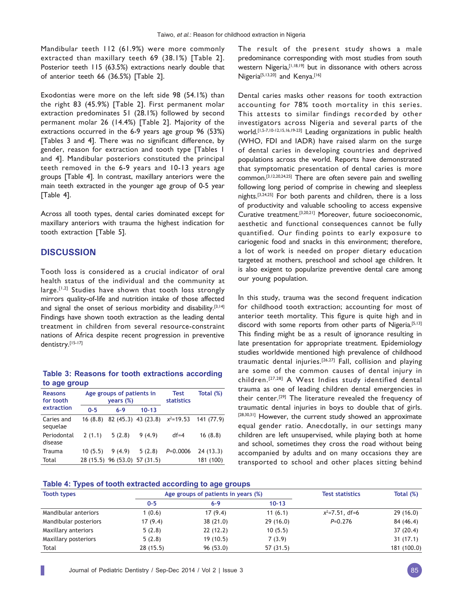Mandibular teeth 112 (61.9%) were more commonly extracted than maxillary teeth 69 (38.1%) [Table 2]. Posterior teeth 115 (63.5%) extractions nearly double that of anterior teeth 66 (36.5%) [Table 2].

Exodontias were more on the left side 98 (54.1%) than the right 83 (45.9%) [Table 2]. First permanent molar extraction predominates 51 (28.1%) followed by second permanent molar 26 (14.4%) [Table 2]. Majority of the extractions occurred in the 6-9 years age group 96 (53%) [Tables 3 and 4]. There was no significant difference, by gender, reason for extraction and tooth type [Tables 1 and 4]. Mandibular posteriors constituted the principal teeth removed in the 6-9 years and 10-13 years age groups [Table 4]. In contrast, maxillary anteriors were the main teeth extracted in the younger age group of 0-5 year [Table 4].

Across all tooth types, dental caries dominated except for maxillary anteriors with trauma the highest indication for tooth extraction [Table 5].

## **DISCUSSION**

L

Tooth loss is considered as a crucial indicator of oral health status of the individual and the community at large.<sup>[1,2]</sup> Studies have shown that tooth loss strongly mirrors quality-of-life and nutrition intake of those affected and signal the onset of serious morbidity and disability.<sup>[3,14]</sup> Findings have shown tooth extraction as the leading dental treatment in children from several resource-constraint nations of Africa despite recent progression in preventive dentistry.[15-17]

## **Table 3: Reasons for tooth extractions according to age group**

| <b>Reasons</b><br>for tooth |         | Age groups of patients in<br>years (%) | <b>Test</b><br><b>statistics</b> | Total (%)  |            |
|-----------------------------|---------|----------------------------------------|----------------------------------|------------|------------|
| extraction                  | $0 - 5$ | $6 - 9$                                | $10 - 13$                        |            |            |
| Caries and<br>sequelae      | 16(8.8) |                                        | 82 (45.3) 43 (23.8) $x^2=19.53$  |            | 141 (77.9) |
| Periodontal<br>disease      | 2(1.1)  | 5(2.8)                                 | 9(4.9)                           | $df = 4$   | 16(8.8)    |
| Trauma                      | 10(5.5) | 9(4.9)                                 | 5(2.8)                           | $P=0.0006$ | 24(13.3)   |
| Total                       |         | 28 (15.5) 96 (53.0) 57 (31.5)          |                                  |            | 181 (100)  |

The result of the present study shows a male predominance corresponding with most studies from south western Nigeria, [1,18,19] but in dissonance with others across Nigeria<sup>[5,13,20]</sup> and Kenya.<sup>[16]</sup>

Dental caries masks other reasons for tooth extraction accounting for 78% tooth mortality in this series. This attests to similar findings recorded by other investigators across Nigeria and several parts of the world.<sup>[1,5-7,10-12,15,16,19-23]</sup> Leading organizations in public health (WHO, FDI and IADR) have raised alarm on the surge of dental caries in developing countries and deprived populations across the world. Reports have demonstrated that symptomatic presentation of dental caries is more common.[3,12,20,24,25] There are often severe pain and swelling following long period of comprise in chewing and sleepless nights.[3,24,25] For both parents and children, there is a loss of productivity and valuable schooling to access expensive Curative treatment.[3,20,21] Moreover, future socioeconomic, aesthetic and functional consequences cannot be fully quantified. Our finding points to early exposure to cariogenic food and snacks in this environment; therefore, a lot of work is needed on proper dietary education targeted at mothers, preschool and school age children. It is also exigent to popularize preventive dental care among our young population.

In this study, trauma was the second frequent indication for childhood tooth extraction; accounting for most of anterior teeth mortality. This figure is quite high and in discord with some reports from other parts of Nigeria.<sup>[5,13]</sup> This finding might be as a result of ignorance resulting in late presentation for appropriate treatment. Epidemiology studies worldwide mentioned high prevalence of childhood traumatic dental injuries.[26,27] Fall, collision and playing are some of the common causes of dental injury in children.[27,28] A West Indies study identified dental trauma as one of leading children dental emergencies in their center.[29] The literature revealed the frequency of traumatic dental injuries in boys to double that of girls. [28,30,31] However, the current study showed an approximate equal gender ratio. Anecdotally, in our settings many children are left unsupervised, while playing both at home and school, sometimes they cross the road without being accompanied by adults and on many occasions they are transported to school and other places sitting behind

# **Table 4: Types of tooth extracted according to age groups**

| <b>Tooth types</b>    | Age groups of patients in years (%) |          |           | <b>Test statistics</b> | Total (%)   |
|-----------------------|-------------------------------------|----------|-----------|------------------------|-------------|
|                       | $0 - 5$                             | $6 - 9$  | $10 - 13$ |                        |             |
| Mandibular anteriors  | 1(0.6)                              | 17(9.4)  | 11(6.1)   | $x^2=7.51$ , df=6      | 29(16.0)    |
| Mandibular posteriors | 17(9.4)                             | 38(21.0) | 29(16.0)  | $P=0.276$              | 84 (46.4)   |
| Maxillary anteriors   | 5(2.8)                              | 22(12.2) | 10(5.5)   |                        | 37(20.4)    |
| Maxillary posteriors  | 5(2.8)                              | 19(10.5) | 7(3.9)    |                        | 31(17.1)    |
| Total                 | 28(15.5)                            | 96(53.0) | 57(31.5)  |                        | 181 (100.0) |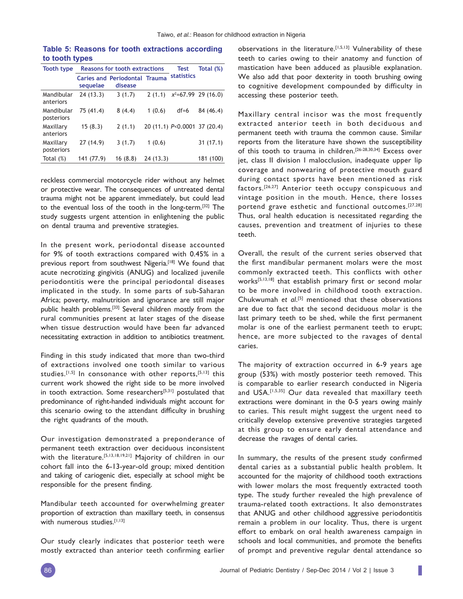| <b>Tooth type</b>        | Reasons for tooth extractions |                                                 |          | <b>Test</b>                  | Total (%)             |
|--------------------------|-------------------------------|-------------------------------------------------|----------|------------------------------|-----------------------|
|                          | sequelae                      | <b>Caries and Periodontal Trauma</b><br>disease |          | <b>statistics</b>            |                       |
| Mandibular<br>anteriors  | 24(13.3)                      | 3(1.7)                                          | 2(1.1)   |                              | $x^2=67.99$ 29 (16.0) |
| Mandibular<br>posteriors | 75 (41.4)                     | 8(4.4)                                          | 1(0.6)   | $df=6$                       | 84 (46.4)             |
| Maxillary<br>anteriors   | 15(8.3)                       | 2(1.1)                                          |          | 20 (11.1) P<0.0001 37 (20.4) |                       |
| Maxillary<br>posteriors  | 27(14.9)                      | 3(1.7)                                          | 1(0.6)   |                              | 31(17.1)              |
| Total $(\%)$             | 141 (77.9)                    | 16(8.8)                                         | 24(13.3) |                              | 181 (100)             |

**Table 5: Reasons for tooth extractions according to tooth types**

reckless commercial motorcycle rider without any helmet or protective wear. The consequences of untreated dental trauma might not be apparent immediately, but could lead to the eventual loss of the tooth in the long-term.[32] The study suggests urgent attention in enlightening the public on dental trauma and preventive strategies.

In the present work, periodontal disease accounted for 9% of tooth extractions compared with 0.45% in a previous report from southwest Nigeria.<sup>[18]</sup> We found that acute necrotizing gingivitis (ANUG) and localized juvenile periodontitis were the principal periodontal diseases implicated in the study. In some parts of sub-Saharan Africa; poverty, malnutrition and ignorance are still major public health problems.[33] Several children mostly from the rural communities present at later stages of the disease when tissue destruction would have been far advanced necessitating extraction in addition to antibiotics treatment.

Finding in this study indicated that more than two-third of extractions involved one tooth similar to various studies.<sup>[1,5]</sup> In consonance with other reports,<sup>[5,13]</sup> this current work showed the right side to be more involved in tooth extraction. Some researchers<sup>[5,31]</sup> postulated that predominance of right-handed individuals might account for this scenario owing to the attendant difficulty in brushing the right quadrants of the mouth.

Our investigation demonstrated a preponderance of permanent teeth extraction over deciduous inconsistent with the literature.<sup>[5,13,18,19,21]</sup> Majority of children in our cohort fall into the 6-13-year-old group; mixed dentition and taking of cariogenic diet, especially at school might be responsible for the present finding.

Mandibular teeth accounted for overwhelming greater proportion of extraction than maxillary teeth, in consensus with numerous studies.[1,13]

Our study clearly indicates that posterior teeth were mostly extracted than anterior teeth confirming earlier observations in the literature.[1,5,13] Vulnerability of these teeth to caries owing to their anatomy and function of mastication have been adduced as plausible explanation. We also add that poor dexterity in tooth brushing owing to cognitive development compounded by difficulty in accessing these posterior teeth.

Maxillary central incisor was the most frequently extracted anterior teeth in both deciduous and permanent teeth with trauma the common cause. Similar reports from the literature have shown the susceptibility of this tooth to trauma in children.[26-28,30,34] Excess over jet, class II division I malocclusion, inadequate upper lip coverage and nonwearing of protective mouth guard during contact sports have been mentioned as risk factors.[26,27] Anterior teeth occupy conspicuous and vintage position in the mouth. Hence, there losses portend grave esthetic and functional outcomes.[27,28] Thus, oral health education is necessitated regarding the causes, prevention and treatment of injuries to these teeth.

Overall, the result of the current series observed that the first mandibular permanent molars were the most commonly extracted teeth. This conflicts with other works $[5,13,18]$  that establish primary first or second molar to be more involved in childhood tooth extraction. Chukwumah *et al*. [5] mentioned that these observations are due to fact that the second deciduous molar is the last primary teeth to be shed, while the first permanent molar is one of the earliest permanent teeth to erupt; hence, are more subjected to the ravages of dental caries.

The majority of extraction occurred in 6-9 years age group (53%) with mostly posterior teeth removed. This is comparable to earlier research conducted in Nigeria and USA.<sup>[1,5,35]</sup> Our data revealed that maxillary teeth extractions were dominant in the 0-5 years owing mainly to caries. This result might suggest the urgent need to critically develop extensive preventive strategies targeted at this group to ensure early dental attendance and decrease the ravages of dental caries.

In summary, the results of the present study confirmed dental caries as a substantial public health problem. It accounted for the majority of childhood tooth extractions with lower molars the most frequently extracted tooth type. The study further revealed the high prevalence of trauma-related tooth extractions. It also demonstrates that ANUG and other childhood aggressive periodontitis remain a problem in our locality. Thus, there is urgent effort to embark on oral health awareness campaign in schools and local communities, and promote the benefits of prompt and preventive regular dental attendance so

I.